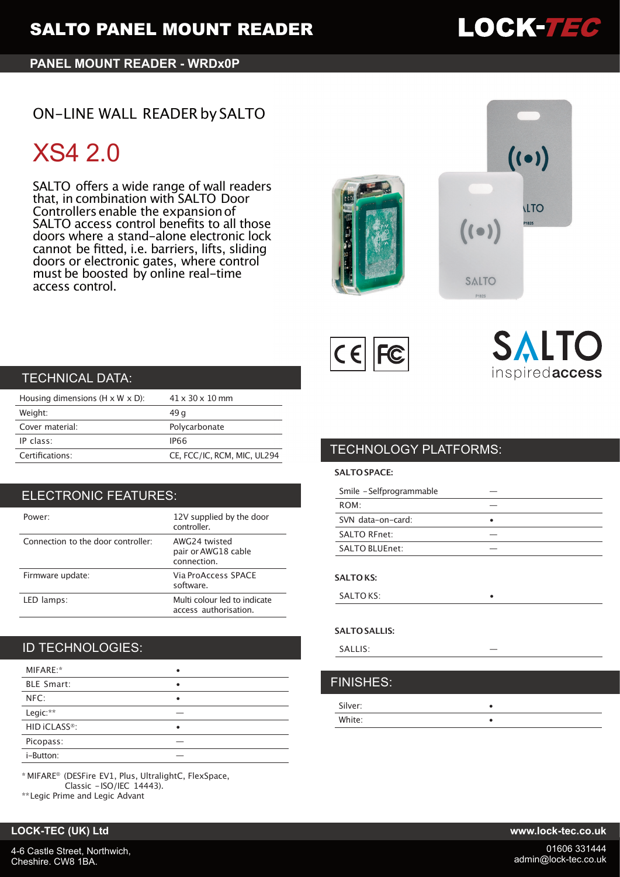## **PANEL MOUNT READER - WRDx0P**

# ON-LINE WALL READER by SALTO

# XS4 2.0

SALTO offers a wide range of wall readers that, in combination with SALTO Door Controllers enable the expansionof SALTO access control benefits to all those doors where a stand-alone electronic lock cannot be fitted, i.e. barriers, lifts, sliding doors or electronic gates, where control must be boosted by online real-time access control.







# SALTO inspiredaccess

# TECHNICAL DATA:

| Housing dimensions ( $H \times W \times D$ ): | $41 \times 30 \times 10$ mm |
|-----------------------------------------------|-----------------------------|
| Weight:                                       | 49 a                        |
| Cover material:                               | Polycarbonate               |
| IP class:                                     | IP66                        |
| Certifications:                               | CE, FCC/IC, RCM, MIC, UL294 |

# ELECTRONIC FEATURES:

| Power:                             | 12V supplied by the door<br>controller.               |
|------------------------------------|-------------------------------------------------------|
| Connection to the door controller: | AWG24 twisted<br>pair or AWG18 cable<br>connection.   |
| Firmware update:                   | Via ProAccess SPACE<br>software.                      |
| LED lamps:                         | Multi colour led to indicate<br>access authorisation. |

# ID TECHNOLOGIES:

| MIFARE:*                  |   |
|---------------------------|---|
| <b>BLE Smart:</b>         | ٠ |
| NFC:                      |   |
| Legic:**                  |   |
| HID iCLASS <sup>®</sup> : |   |
| Picopass:                 |   |
| i-Button:                 |   |

\* MIFARE® (DESFire EV1, Plus, UltralightC, FlexSpace, Classic -ISO/IEC 14443).

\*\*Legic Prime and Legic Advant

### **LOCK-TEC (UK) Ltd www.lock-tec.co.uk**

# TECHNOLOGY PLATFORMS:

### **SALTO SPACE:**

| Smile - Selfprogrammable |  |
|--------------------------|--|
| ROM:                     |  |
| SVN data-on-card:        |  |
| <b>SALTO RFnet:</b>      |  |
| SALTO BLUEnet:           |  |
| <b>SALTO KS:</b>         |  |

SALTO KS:

### **SALTO SALLIS:**

| SALLIS:          | __ |
|------------------|----|
|                  |    |
| <b>FINISHES:</b> |    |

| Silver: |  |
|---------|--|
| White:  |  |



01606 331444 admin@lock-tec.co.uk